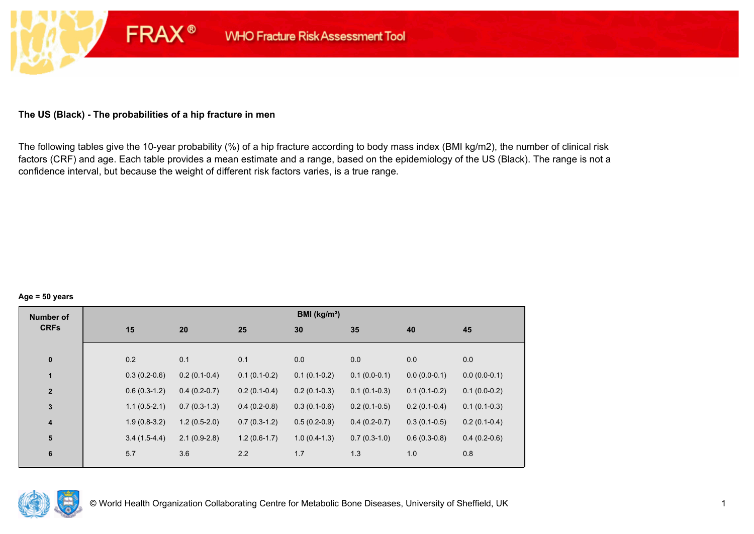# **The US (Black) - The probabilities of a hip fracture in men**

**FRAX®** 

The following tables give the 10-year probability (%) of a hip fracture according to body mass index (BMI kg/m2), the number of clinical risk factors (CRF) and age. Each table provides a mean estimate and a range, based on the epidemiology of the US (Black). The range is not a confidence interval, but because the weight of different risk factors varies, is a true range.

#### **Age = 50 years**

| <b>Number of</b> |                |                |                | BMI (kg/m <sup>2</sup> ) |                |                |                |
|------------------|----------------|----------------|----------------|--------------------------|----------------|----------------|----------------|
| <b>CRFs</b>      | 15             | 20             | 25             | 30                       | 35             | 40             | 45             |
|                  |                |                |                |                          |                |                |                |
| $\pmb{0}$        | 0.2            | 0.1            | 0.1            | 0.0                      | 0.0            | 0.0            | 0.0            |
| 1                | $0.3(0.2-0.6)$ | $0.2(0.1-0.4)$ | $0.1(0.1-0.2)$ | $0.1(0.1-0.2)$           | $0.1(0.0-0.1)$ | $0.0(0.0-0.1)$ | $0.0(0.0-0.1)$ |
| $\mathbf{2}$     | $0.6(0.3-1.2)$ | $0.4(0.2-0.7)$ | $0.2(0.1-0.4)$ | $0.2(0.1-0.3)$           | $0.1(0.1-0.3)$ | $0.1(0.1-0.2)$ | $0.1(0.0-0.2)$ |
| $\mathbf 3$      | $1.1(0.5-2.1)$ | $0.7(0.3-1.3)$ | $0.4(0.2-0.8)$ | $0.3(0.1-0.6)$           | $0.2(0.1-0.5)$ | $0.2(0.1-0.4)$ | $0.1(0.1-0.3)$ |
| $\boldsymbol{4}$ | $1.9(0.8-3.2)$ | $1.2(0.5-2.0)$ | $0.7(0.3-1.2)$ | $0.5(0.2-0.9)$           | $0.4(0.2-0.7)$ | $0.3(0.1-0.5)$ | $0.2(0.1-0.4)$ |
| 5                | $3.4(1.5-4.4)$ | $2.1(0.9-2.8)$ | $1.2(0.6-1.7)$ | $1.0(0.4-1.3)$           | $0.7(0.3-1.0)$ | $0.6(0.3-0.8)$ | $0.4(0.2-0.6)$ |
| $\bf 6$          | 5.7            | 3.6            | 2.2            | 1.7                      | 1.3            | 1.0            | 0.8            |
|                  |                |                |                |                          |                |                |                |

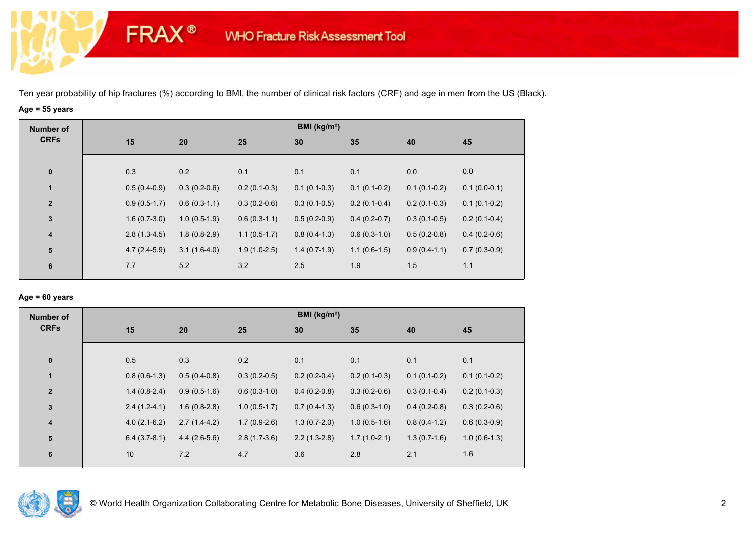# **Age = 55 years**

**FRAX®** 

| <b>Number of</b> |                |                |                | BMI ( $kg/m2$ ) |                |                |                |
|------------------|----------------|----------------|----------------|-----------------|----------------|----------------|----------------|
| <b>CRFs</b>      | 15             | 20             | 25             | 30              | 35             | 40             | 45             |
|                  |                |                |                |                 |                |                |                |
| $\mathbf 0$      | 0.3            | 0.2            | 0.1            | 0.1             | 0.1            | 0.0            | 0.0            |
| 1                | $0.5(0.4-0.9)$ | $0.3(0.2-0.6)$ | $0.2(0.1-0.3)$ | $0.1(0.1-0.3)$  | $0.1(0.1-0.2)$ | $0.1(0.1-0.2)$ | $0.1(0.0-0.1)$ |
| $\mathbf{2}$     | $0.9(0.5-1.7)$ | $0.6(0.3-1.1)$ | $0.3(0.2-0.6)$ | $0.3(0.1-0.5)$  | $0.2(0.1-0.4)$ | $0.2(0.1-0.3)$ | $0.1(0.1-0.2)$ |
| $\mathbf 3$      | $1.6(0.7-3.0)$ | $1.0(0.5-1.9)$ | $0.6(0.3-1.1)$ | $0.5(0.2-0.9)$  | $0.4(0.2-0.7)$ | $0.3(0.1-0.5)$ | $0.2(0.1-0.4)$ |
| $\boldsymbol{4}$ | $2.8(1.3-4.5)$ | $1.8(0.8-2.9)$ | $1.1(0.5-1.7)$ | $0.8(0.4-1.3)$  | $0.6(0.3-1.0)$ | $0.5(0.2-0.8)$ | $0.4(0.2-0.6)$ |
| ${\bf 5}$        | $4.7(2.4-5.9)$ | $3.1(1.6-4.0)$ | $1.9(1.0-2.5)$ | $1.4(0.7-1.9)$  | $1.1(0.6-1.5)$ | $0.9(0.4-1.1)$ | $0.7(0.3-0.9)$ |
| 6                | 7.7            | 5.2            | 3.2            | 2.5             | 1.9            | 1.5            | 1.1            |
|                  |                |                |                |                 |                |                |                |

## **Age = 60 years**

| <b>Number of</b>        |                |                |                | BMI (kg/m <sup>2</sup> ) |                |                |                |
|-------------------------|----------------|----------------|----------------|--------------------------|----------------|----------------|----------------|
| <b>CRFs</b>             | 15             | 20             | 25             | 30                       | 35             | 40             | 45             |
| $\pmb{0}$               | 0.5            | 0.3            | 0.2            | 0.1                      | 0.1            | 0.1            | 0.1            |
| $\blacksquare$          | $0.8(0.6-1.3)$ | $0.5(0.4-0.8)$ | $0.3(0.2-0.5)$ | $0.2(0.2-0.4)$           | $0.2(0.1-0.3)$ | $0.1(0.1-0.2)$ | $0.1(0.1-0.2)$ |
| $\overline{2}$          | $1.4(0.8-2.4)$ | $0.9(0.5-1.6)$ | $0.6(0.3-1.0)$ | $0.4(0.2-0.8)$           | $0.3(0.2-0.6)$ | $0.3(0.1-0.4)$ | $0.2(0.1-0.3)$ |
| $\mathbf 3$             | $2.4(1.2-4.1)$ | $1.6(0.8-2.8)$ | $1.0(0.5-1.7)$ | $0.7(0.4-1.3)$           | $0.6(0.3-1.0)$ | $0.4(0.2-0.8)$ | $0.3(0.2-0.6)$ |
| $\overline{\mathbf{4}}$ | $4.0(2.1-6.2)$ | $2.7(1.4-4.2)$ | $1.7(0.9-2.6)$ | $1.3(0.7-2.0)$           | $1.0(0.5-1.6)$ | $0.8(0.4-1.2)$ | $0.6(0.3-0.9)$ |
| ${\bf 5}$               | $6.4(3.7-8.1)$ | $4.4(2.6-5.6)$ | $2.8(1.7-3.6)$ | $2.2(1.3-2.8)$           | $1.7(1.0-2.1)$ | $1.3(0.7-1.6)$ | $1.0(0.6-1.3)$ |
| 6                       | 10             | 7.2            | 4.7            | 3.6                      | 2.8            | 2.1            | 1.6            |

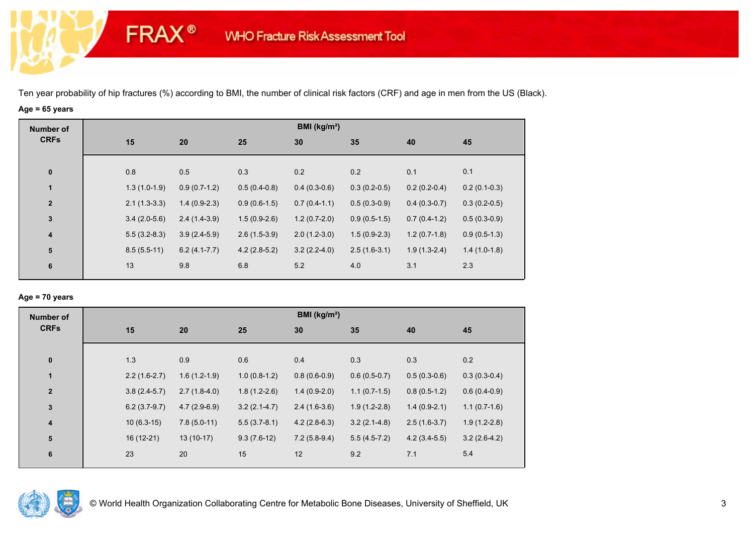# **Age = 65 years**

**FRAX®** 

| <b>Number of</b><br><b>CRFs</b> |                |                |                | BMI ( $kg/m2$ ) |                |                |                |
|---------------------------------|----------------|----------------|----------------|-----------------|----------------|----------------|----------------|
|                                 | 15             | 20             | 25             | 30              | 35             | 40             | 45             |
|                                 |                |                |                |                 |                |                |                |
| $\bf{0}$                        | 0.8            | 0.5            | 0.3            | 0.2             | 0.2            | 0.1            | 0.1            |
| 1                               | $1.3(1.0-1.9)$ | $0.9(0.7-1.2)$ | $0.5(0.4-0.8)$ | $0.4(0.3-0.6)$  | $0.3(0.2-0.5)$ | $0.2(0.2-0.4)$ | $0.2(0.1-0.3)$ |
| $\mathbf{2}$                    | $2.1(1.3-3.3)$ | $1.4(0.9-2.3)$ | $0.9(0.6-1.5)$ | $0.7(0.4-1.1)$  | $0.5(0.3-0.9)$ | $0.4(0.3-0.7)$ | $0.3(0.2-0.5)$ |
| $\mathbf 3$                     | $3.4(2.0-5.6)$ | $2.4(1.4-3.9)$ | $1.5(0.9-2.6)$ | $1.2(0.7-2.0)$  | $0.9(0.5-1.5)$ | $0.7(0.4-1.2)$ | $0.5(0.3-0.9)$ |
| $\overline{\mathbf{4}}$         | $5.5(3.2-8.3)$ | $3.9(2.4-5.9)$ | $2.6(1.5-3.9)$ | $2.0(1.2-3.0)$  | $1.5(0.9-2.3)$ | $1.2(0.7-1.8)$ | $0.9(0.5-1.3)$ |
| ${\bf 5}$                       | $8.5(5.5-11)$  | $6.2(4.1-7.7)$ | $4.2(2.8-5.2)$ | $3.2(2.2-4.0)$  | $2.5(1.6-3.1)$ | $1.9(1.3-2.4)$ | $1.4(1.0-1.8)$ |
| 6                               | 13             | 9.8            | 6.8            | 5.2             | 4.0            | 3.1            | 2.3            |

### **Age = 70 years**

| <b>Number of</b>        |                |                |                | BMI ( $kg/m2$ ) |                |                |                |
|-------------------------|----------------|----------------|----------------|-----------------|----------------|----------------|----------------|
| <b>CRFs</b>             | 15             | 20             | 25             | 30              | 35             | 40             | 45             |
| $\pmb{0}$               | 1.3            | 0.9            | 0.6            | 0.4             | 0.3            | 0.3            | 0.2            |
| $\mathbf{1}$            | $2.2(1.6-2.7)$ | $1.6(1.2-1.9)$ | $1.0(0.8-1.2)$ | $0.8(0.6-0.9)$  | $0.6(0.5-0.7)$ | $0.5(0.3-0.6)$ | $0.3(0.3-0.4)$ |
| $\overline{2}$          | $3.8(2.4-5.7)$ | $2.7(1.8-4.0)$ | $1.8(1.2-2.6)$ | $1.4(0.9-2.0)$  | $1.1(0.7-1.5)$ | $0.8(0.5-1.2)$ | $0.6(0.4-0.9)$ |
| 3                       | $6.2(3.7-9.7)$ | $4.7(2.9-6.9)$ | $3.2(2.1-4.7)$ | $2.4(1.6-3.6)$  | $1.9(1.2-2.8)$ | $1.4(0.9-2.1)$ | $1.1(0.7-1.6)$ |
| $\overline{\mathbf{4}}$ | $10(6.3-15)$   | $7.8(5.0-11)$  | $5.5(3.7-8.1)$ | $4.2(2.8-6.3)$  | $3.2(2.1-4.8)$ | $2.5(1.6-3.7)$ | $1.9(1.2-2.8)$ |
| 5                       | 16 (12-21)     | $13(10-17)$    | $9.3(7.6-12)$  | $7.2(5.8-9.4)$  | $5.5(4.5-7.2)$ | $4.2(3.4-5.5)$ | $3.2(2.6-4.2)$ |
| 6                       | 23             | 20             | 15             | 12              | 9.2            | 7.1            | 5.4            |

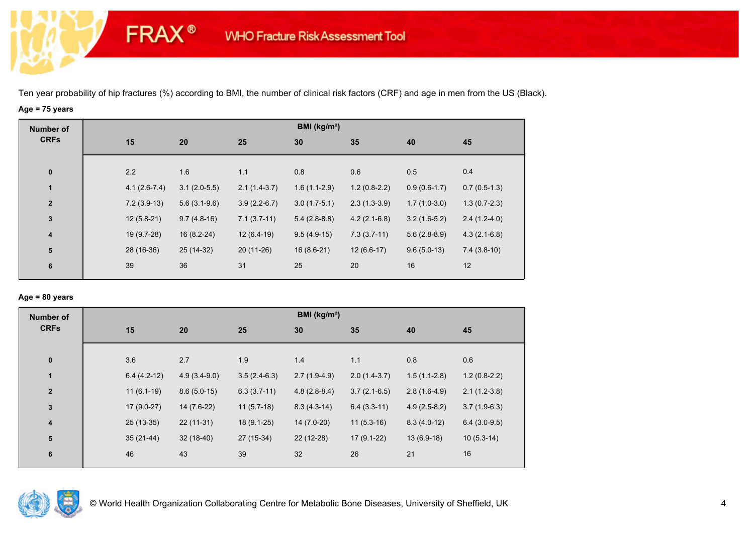# **Age = 75 years**

**FRAX®** 

| <b>Number of</b>        |                |                |                | BMI ( $kg/m2$ ) |                |                |                |
|-------------------------|----------------|----------------|----------------|-----------------|----------------|----------------|----------------|
| <b>CRFs</b>             | 15             | 20             | 25             | 30              | 35             | 40             | 45             |
|                         |                |                |                |                 |                |                |                |
| $\bf{0}$                | 2.2            | 1.6            | 1.1            | 0.8             | 0.6            | 0.5            | 0.4            |
| 1                       | $4.1(2.6-7.4)$ | $3.1(2.0-5.5)$ | $2.1(1.4-3.7)$ | $1.6(1.1-2.9)$  | $1.2(0.8-2.2)$ | $0.9(0.6-1.7)$ | $0.7(0.5-1.3)$ |
| $\overline{2}$          | $7.2(3.9-13)$  | $5.6(3.1-9.6)$ | $3.9(2.2-6.7)$ | $3.0(1.7-5.1)$  | $2.3(1.3-3.9)$ | $1.7(1.0-3.0)$ | $1.3(0.7-2.3)$ |
| $\mathbf 3$             | $12(5.8-21)$   | $9.7(4.8-16)$  | $7.1(3.7-11)$  | $5.4(2.8-8.8)$  | $4.2(2.1-6.8)$ | $3.2(1.6-5.2)$ | $2.4(1.2-4.0)$ |
| $\overline{\mathbf{4}}$ | 19 (9.7-28)    | $16(8.2-24)$   | $12(6.4-19)$   | $9.5(4.9-15)$   | $7.3(3.7-11)$  | $5.6(2.8-8.9)$ | $4.3(2.1-6.8)$ |
| ${\bf 5}$               | 28 (16-36)     | 25 (14-32)     | $20(11-26)$    | $16(8.6-21)$    | $12(6.6-17)$   | $9.6(5.0-13)$  | $7.4(3.8-10)$  |
| 6                       | 39             | 36             | 31             | 25              | 20             | 16             | 12             |
|                         |                |                |                |                 |                |                |                |

## **Age = 80 years**

| <b>Number of</b> |               |                |                | BMI ( $kg/m2$ ) |                |                |                |
|------------------|---------------|----------------|----------------|-----------------|----------------|----------------|----------------|
| <b>CRFs</b>      | 15            | 20             | 25             | 30              | 35             | 40             | 45             |
| $\bf{0}$         | 3.6           | 2.7            | 1.9            | 1.4             | 1.1            | 0.8            | 0.6            |
| $\mathbf{1}$     | $6.4(4.2-12)$ | $4.9(3.4-9.0)$ | $3.5(2.4-6.3)$ | $2.7(1.9-4.9)$  | $2.0(1.4-3.7)$ | $1.5(1.1-2.8)$ | $1.2(0.8-2.2)$ |
| $\overline{2}$   | $11(6.1-19)$  | $8.6(5.0-15)$  | $6.3(3.7-11)$  | $4.8(2.8-8.4)$  | $3.7(2.1-6.5)$ | $2.8(1.6-4.9)$ | $2.1(1.2-3.8)$ |
| $\mathbf{3}$     | $17(9.0-27)$  | 14 (7.6-22)    | $11(5.7-18)$   | $8.3(4.3-14)$   | $6.4(3.3-11)$  | $4.9(2.5-8.2)$ | $3.7(1.9-6.3)$ |
| 4                | $25(13-35)$   | $22(11-31)$    | $18(9.1-25)$   | 14 (7.0-20)     | $11(5.3-16)$   | $8.3(4.0-12)$  | $6.4(3.0-9.5)$ |
| 5                | $35(21-44)$   | $32(18-40)$    | 27 (15-34)     | $22(12-28)$     | $17(9.1-22)$   | $13(6.9-18)$   | $10(5.3-14)$   |
| 6                | 46            | 43             | 39             | 32              | 26             | 21             | 16             |